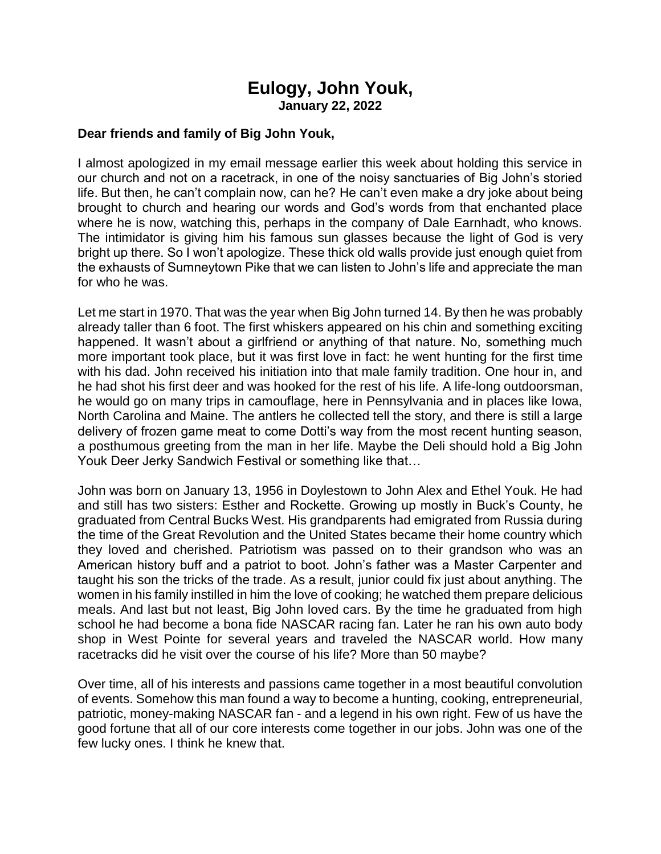## **Eulogy, John Youk, January 22, 2022**

## **Dear friends and family of Big John Youk,**

I almost apologized in my email message earlier this week about holding this service in our church and not on a racetrack, in one of the noisy sanctuaries of Big John's storied life. But then, he can't complain now, can he? He can't even make a dry joke about being brought to church and hearing our words and God's words from that enchanted place where he is now, watching this, perhaps in the company of Dale Earnhadt, who knows. The intimidator is giving him his famous sun glasses because the light of God is very bright up there. So I won't apologize. These thick old walls provide just enough quiet from the exhausts of Sumneytown Pike that we can listen to John's life and appreciate the man for who he was.

Let me start in 1970. That was the year when Big John turned 14. By then he was probably already taller than 6 foot. The first whiskers appeared on his chin and something exciting happened. It wasn't about a girlfriend or anything of that nature. No, something much more important took place, but it was first love in fact: he went hunting for the first time with his dad. John received his initiation into that male family tradition. One hour in, and he had shot his first deer and was hooked for the rest of his life. A life-long outdoorsman, he would go on many trips in camouflage, here in Pennsylvania and in places like Iowa, North Carolina and Maine. The antlers he collected tell the story, and there is still a large delivery of frozen game meat to come Dotti's way from the most recent hunting season, a posthumous greeting from the man in her life. Maybe the Deli should hold a Big John Youk Deer Jerky Sandwich Festival or something like that…

John was born on January 13, 1956 in Doylestown to John Alex and Ethel Youk. He had and still has two sisters: Esther and Rockette. Growing up mostly in Buck's County, he graduated from Central Bucks West. His grandparents had emigrated from Russia during the time of the Great Revolution and the United States became their home country which they loved and cherished. Patriotism was passed on to their grandson who was an American history buff and a patriot to boot. John's father was a Master Carpenter and taught his son the tricks of the trade. As a result, junior could fix just about anything. The women in his family instilled in him the love of cooking; he watched them prepare delicious meals. And last but not least, Big John loved cars. By the time he graduated from high school he had become a bona fide NASCAR racing fan. Later he ran his own auto body shop in West Pointe for several years and traveled the NASCAR world. How many racetracks did he visit over the course of his life? More than 50 maybe?

Over time, all of his interests and passions came together in a most beautiful convolution of events. Somehow this man found a way to become a hunting, cooking, entrepreneurial, patriotic, money-making NASCAR fan - and a legend in his own right. Few of us have the good fortune that all of our core interests come together in our jobs. John was one of the few lucky ones. I think he knew that.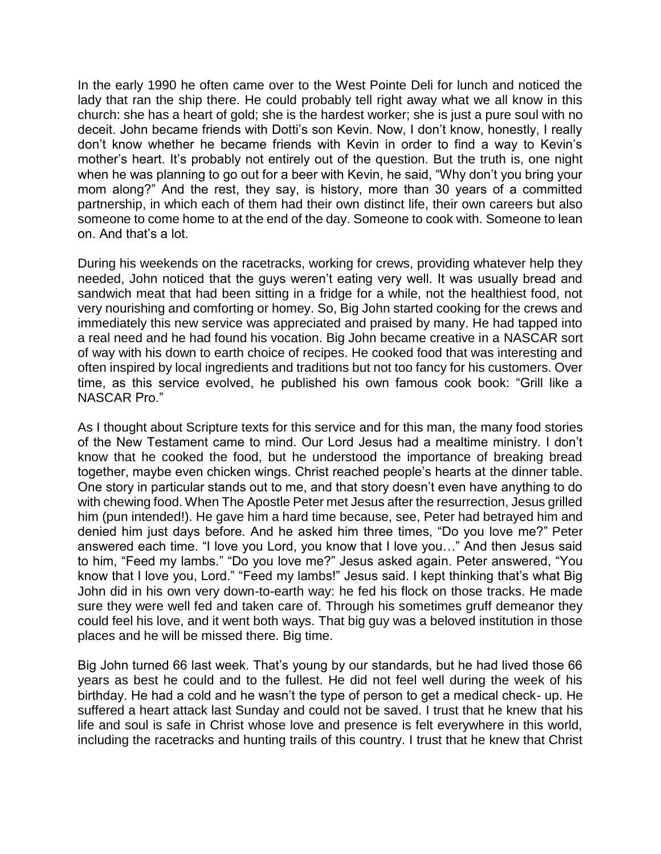In the early 1990 he often came over to the West Pointe Deli for lunch and noticed the lady that ran the ship there. He could probably tell right away what we all know in this church: she has a heart of gold; she is the hardest worker; she is just a pure soul with no deceit. John became friends with Dotti's son Kevin. Now, I don't know, honestly, I really don't know whether he became friends with Kevin in order to find a way to Kevin's mother's heart. It's probably not entirely out of the question. But the truth is, one night when he was planning to go out for a beer with Kevin, he said, "Why don't you bring your mom along?" And the rest, they say, is history, more than 30 years of a committed partnership, in which each of them had their own distinct life, their own careers but also someone to come home to at the end of the day. Someone to cook with. Someone to lean on. And that's a lot.

During his weekends on the racetracks, working for crews, providing whatever help they needed, John noticed that the guys weren't eating very well. It was usually bread and sandwich meat that had been sitting in a fridge for a while, not the healthiest food, not very nourishing and comforting or homey. So, Big John started cooking for the crews and immediately this new service was appreciated and praised by many. He had tapped into a real need and he had found his vocation. Big John became creative in a NASCAR sort of way with his down to earth choice of recipes. He cooked food that was interesting and often inspired by local ingredients and traditions but not too fancy for his customers. Over time, as this service evolved, he published his own famous cook book: "Grill like a NASCAR Pro."

As I thought about Scripture texts for this service and for this man, the many food stories of the New Testament came to mind. Our Lord Jesus had a mealtime ministry. I don't know that he cooked the food, but he understood the importance of breaking bread together, maybe even chicken wings. Christ reached people's hearts at the dinner table. One story in particular stands out to me, and that story doesn't even have anything to do with chewing food. When The Apostle Peter met Jesus after the resurrection, Jesus grilled him (pun intended!). He gave him a hard time because, see, Peter had betrayed him and denied him just days before. And he asked him three times, "Do you love me?" Peter answered each time. "I love you Lord, you know that I love you…" And then Jesus said to him, "Feed my lambs." "Do you love me?" Jesus asked again. Peter answered, "You know that I love you, Lord." "Feed my lambs!" Jesus said. I kept thinking that's what Big John did in his own very down-to-earth way: he fed his flock on those tracks. He made sure they were well fed and taken care of. Through his sometimes gruff demeanor they could feel his love, and it went both ways. That big guy was a beloved institution in those places and he will be missed there. Big time.

Big John turned 66 last week. That's young by our standards, but he had lived those 66 years as best he could and to the fullest. He did not feel well during the week of his birthday. He had a cold and he wasn't the type of person to get a medical check- up. He suffered a heart attack last Sunday and could not be saved. I trust that he knew that his life and soul is safe in Christ whose love and presence is felt everywhere in this world, including the racetracks and hunting trails of this country. I trust that he knew that Christ